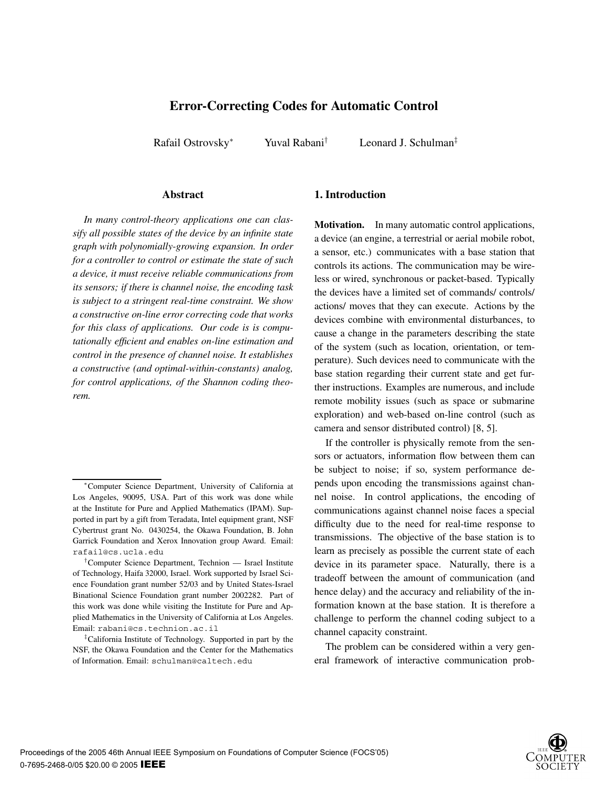# **Error-Correcting Codes for Automatic Control**

Rafail Ostrovsky<sup>∗</sup> Yuval Rabani† Leonard J. Schulman‡

## **Abstract**

*In many control-theory applications one can classify all possible states of the device by an infinite state graph with polynomially-growing expansion. In order for a controller to control or estimate the state of such a device, it must receive reliable communications from its sensors; if there is channel noise, the encoding task is subject to a stringent real-time constraint. We show a constructive on-line error correcting code that works for this class of applications. Our code is is computationally efficient and enables on-line estimation and control in the presence of channel noise. It establishes a constructive (and optimal-within-constants) analog, for control applications, of the Shannon coding theorem.*

## **1. Introduction**

**Motivation.** In many automatic control applications, a device (an engine, a terrestrial or aerial mobile robot, a sensor, etc.) communicates with a base station that controls its actions. The communication may be wireless or wired, synchronous or packet-based. Typically the devices have a limited set of commands/ controls/ actions/ moves that they can execute. Actions by the devices combine with environmental disturbances, to cause a change in the parameters describing the state of the system (such as location, orientation, or temperature). Such devices need to communicate with the base station regarding their current state and get further instructions. Examples are numerous, and include remote mobility issues (such as space or submarine exploration) and web-based on-line control (such as camera and sensor distributed control) [8, 5].

If the controller is physically remote from the sensors or actuators, information flow between them can be subject to noise; if so, system performance depends upon encoding the transmissions against channel noise. In control applications, the encoding of communications against channel noise faces a special difficulty due to the need for real-time response to transmissions. The objective of the base station is to learn as precisely as possible the current state of each device in its parameter space. Naturally, there is a tradeoff between the amount of communication (and hence delay) and the accuracy and reliability of the information known at the base station. It is therefore a challenge to perform the channel coding subject to a channel capacity constraint.

The problem can be considered within a very general framework of interactive communication prob-



<sup>∗</sup>Computer Science Department, University of California at Los Angeles, 90095, USA. Part of this work was done while at the Institute for Pure and Applied Mathematics (IPAM). Supported in part by a gift from Teradata, Intel equipment grant, NSF Cybertrust grant No. 0430254, the Okawa Foundation, B. John Garrick Foundation and Xerox Innovation group Award. Email: rafail@cs.ucla.edu

<sup>†</sup>Computer Science Department, Technion — Israel Institute of Technology, Haifa 32000, Israel. Work supported by Israel Science Foundation grant number 52/03 and by United States-Israel Binational Science Foundation grant number 2002282. Part of this work was done while visiting the Institute for Pure and Applied Mathematics in the University of California at Los Angeles. Email: rabani@cs.technion.ac.il

<sup>‡</sup>California Institute of Technology. Supported in part by the NSF, the Okawa Foundation and the Center for the Mathematics of Information. Email: schulman@caltech.edu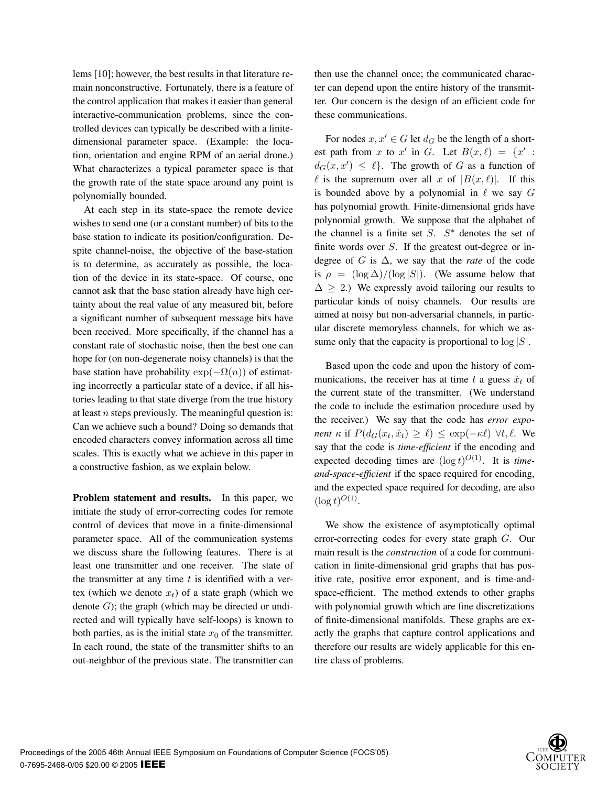lems [10]; however, the best results in that literature remain nonconstructive. Fortunately, there is a feature of the control application that makes it easier than general interactive-communication problems, since the controlled devices can typically be described with a finitedimensional parameter space. (Example: the location, orientation and engine RPM of an aerial drone.) What characterizes a typical parameter space is that the growth rate of the state space around any point is polynomially bounded.

At each step in its state-space the remote device wishes to send one (or a constant number) of bits to the base station to indicate its position/configuration. Despite channel-noise, the objective of the base-station is to determine, as accurately as possible, the location of the device in its state-space. Of course, one cannot ask that the base station already have high certainty about the real value of any measured bit, before a significant number of subsequent message bits have been received. More specifically, if the channel has a constant rate of stochastic noise, then the best one can hope for (on non-degenerate noisy channels) is that the base station have probability  $exp(-\Omega(n))$  of estimating incorrectly a particular state of a device, if all histories leading to that state diverge from the true history at least  $n$  steps previously. The meaningful question is: Can we achieve such a bound? Doing so demands that encoded characters convey information across all time scales. This is exactly what we achieve in this paper in a constructive fashion, as we explain below.

**Problem statement and results.** In this paper, we initiate the study of error-correcting codes for remote control of devices that move in a finite-dimensional parameter space. All of the communication systems we discuss share the following features. There is at least one transmitter and one receiver. The state of the transmitter at any time  $t$  is identified with a vertex (which we denote  $x_t$ ) of a state graph (which we denote  $G$ ); the graph (which may be directed or undirected and will typically have self-loops) is known to both parties, as is the initial state  $x_0$  of the transmitter. In each round, the state of the transmitter shifts to an out-neighbor of the previous state. The transmitter can

then use the channel once; the communicated character can depend upon the entire history of the transmitter. Our concern is the design of an efficient code for these communications.

For nodes  $x, x' \in G$  let  $d_G$  be the length of a shortest path from x to x' in G. Let  $B(x, \ell) = \{x' :$  $d_G(x, x') \leq \ell$ . The growth of G as a function of  $\ell$  is the supremum over all x of  $|B(x, \ell)|$ . If this is bounded above by a polynomial in  $\ell$  we say  $G$ has polynomial growth. Finite-dimensional grids have polynomial growth. We suppose that the alphabet of the channel is a finite set  $S$ .  $S^*$  denotes the set of finite words over S. If the greatest out-degree or indegree of G is  $\Delta$ , we say that the *rate* of the code is  $\rho = (\log \Delta)/(\log |S|)$ . (We assume below that  $\Delta \geq 2$ .) We expressly avoid tailoring our results to particular kinds of noisy channels. Our results are aimed at noisy but non-adversarial channels, in particular discrete memoryless channels, for which we assume only that the capacity is proportional to  $log |S|$ .

Based upon the code and upon the history of communications, the receiver has at time t a guess  $\hat{x}_t$  of the current state of the transmitter. (We understand the code to include the estimation procedure used by the receiver.) We say that the code has *error exponent*  $\kappa$  if  $P(d_G(x_t, \hat{x}_t) \geq \ell) \leq \exp(-\kappa \ell) \ \forall t, \ell$ . We say that the code is *time-efficient* if the encoding and expected decoding times are  $(\log t)^{O(1)}$ . It is *timeand-space-efficient* if the space required for encoding, and the expected space required for decoding, are also  $(\log t)^{O(1)}$ .

We show the existence of asymptotically optimal error-correcting codes for every state graph G. Our main result is the *construction* of a code for communication in finite-dimensional grid graphs that has positive rate, positive error exponent, and is time-andspace-efficient. The method extends to other graphs with polynomial growth which are fine discretizations of finite-dimensional manifolds. These graphs are exactly the graphs that capture control applications and therefore our results are widely applicable for this entire class of problems.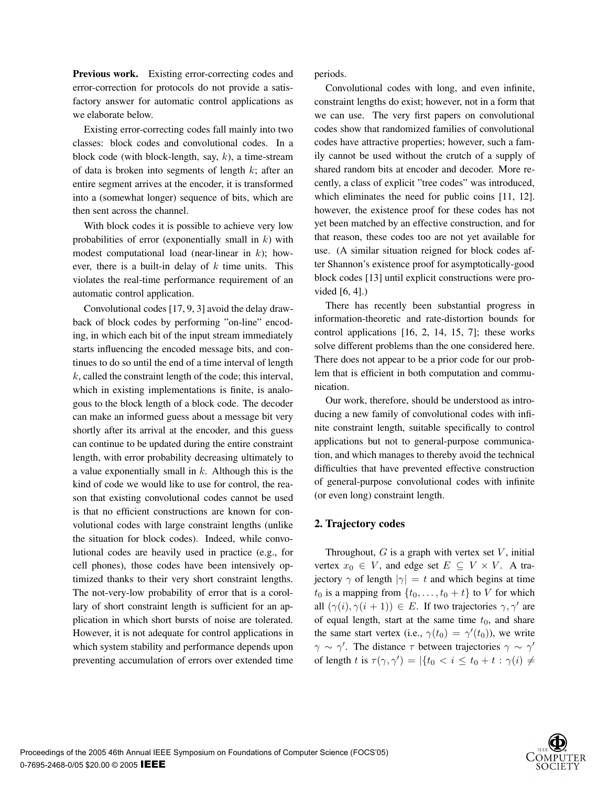**Previous work.** Existing error-correcting codes and error-correction for protocols do not provide a satisfactory answer for automatic control applications as we elaborate below.

Existing error-correcting codes fall mainly into two classes: block codes and convolutional codes. In a block code (with block-length, say,  $k$ ), a time-stream of data is broken into segments of length  $k$ ; after an entire segment arrives at the encoder, it is transformed into a (somewhat longer) sequence of bits, which are then sent across the channel.

With block codes it is possible to achieve very low probabilities of error (exponentially small in  $k$ ) with modest computational load (near-linear in  $k$ ); however, there is a built-in delay of  $k$  time units. This violates the real-time performance requirement of an automatic control application.

Convolutional codes [17, 9, 3] avoid the delay drawback of block codes by performing "on-line" encoding, in which each bit of the input stream immediately starts influencing the encoded message bits, and continues to do so until the end of a time interval of length  $k$ , called the constraint length of the code; this interval, which in existing implementations is finite, is analogous to the block length of a block code. The decoder can make an informed guess about a message bit very shortly after its arrival at the encoder, and this guess can continue to be updated during the entire constraint length, with error probability decreasing ultimately to a value exponentially small in  $k$ . Although this is the kind of code we would like to use for control, the reason that existing convolutional codes cannot be used is that no efficient constructions are known for convolutional codes with large constraint lengths (unlike the situation for block codes). Indeed, while convolutional codes are heavily used in practice (e.g., for cell phones), those codes have been intensively optimized thanks to their very short constraint lengths. The not-very-low probability of error that is a corollary of short constraint length is sufficient for an application in which short bursts of noise are tolerated. However, it is not adequate for control applications in which system stability and performance depends upon preventing accumulation of errors over extended time

periods.

Convolutional codes with long, and even infinite, constraint lengths do exist; however, not in a form that we can use. The very first papers on convolutional codes show that randomized families of convolutional codes have attractive properties; however, such a family cannot be used without the crutch of a supply of shared random bits at encoder and decoder. More recently, a class of explicit "tree codes" was introduced, which eliminates the need for public coins [11, 12]. however, the existence proof for these codes has not yet been matched by an effective construction, and for that reason, these codes too are not yet available for use. (A similar situation reigned for block codes after Shannon's existence proof for asymptotically-good block codes [13] until explicit constructions were provided [6, 4].)

There has recently been substantial progress in information-theoretic and rate-distortion bounds for control applications [16, 2, 14, 15, 7]; these works solve different problems than the one considered here. There does not appear to be a prior code for our problem that is efficient in both computation and communication.

Our work, therefore, should be understood as introducing a new family of convolutional codes with infinite constraint length, suitable specifically to control applications but not to general-purpose communication, and which manages to thereby avoid the technical difficulties that have prevented effective construction of general-purpose convolutional codes with infinite (or even long) constraint length.

## **2. Trajectory codes**

Throughout,  $G$  is a graph with vertex set  $V$ , initial vertex  $x_0 \in V$ , and edge set  $E \subseteq V \times V$ . A trajectory  $\gamma$  of length  $|\gamma| = t$  and which begins at time  $t_0$  is a mapping from  $\{t_0, \ldots, t_0 + t\}$  to V for which all  $(\gamma(i), \gamma(i+1)) \in E$ . If two trajectories  $\gamma, \gamma'$  are of equal length, start at the same time  $t_0$ , and share the same start vertex (i.e.,  $\gamma(t_0) = \gamma'(t_0)$ ), we write  $\gamma \sim \gamma'$ . The distance  $\tau$  between trajectories  $\gamma \sim \gamma'$ of length t is  $\tau(\gamma, \gamma') = |\{t_0 < i \le t_0 + t : \gamma(i) \ne$ 

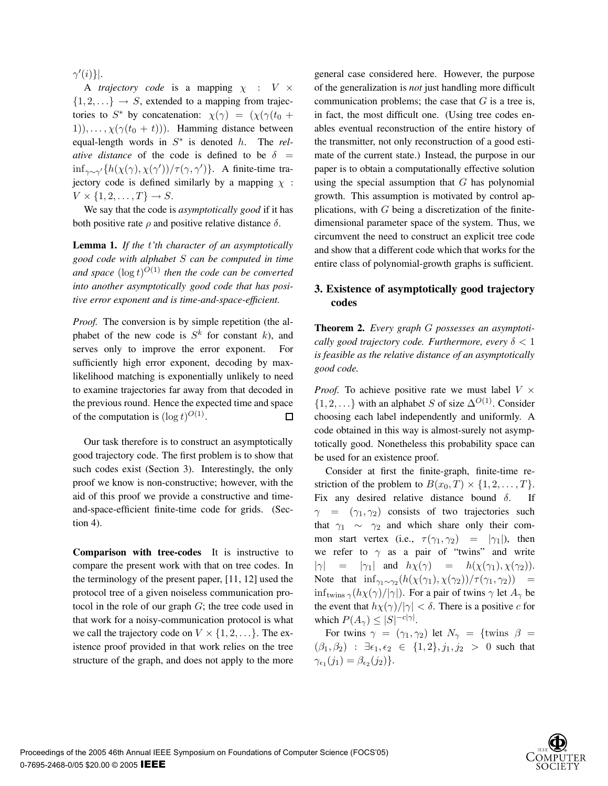$\gamma'(i)\}$ |.

A *trajectory code* is a mapping  $\chi : V \times$  $\{1, 2, \ldots\} \rightarrow S$ , extended to a mapping from trajectories to S<sup>\*</sup> by concatenation:  $\chi(\gamma) = (\chi(\gamma(t_0 +$ 1)),..., $\chi(\gamma(t_0 + t))$ . Hamming distance between equal-length words in S<sup>∗</sup> is denoted h. The *relative distance* of the code is defined to be  $\delta$  =  $\inf_{\gamma \sim \gamma'} \{ h(\chi(\gamma), \chi(\gamma')) / \tau(\gamma, \gamma') \}.$  A finite-time trajectory code is defined similarly by a mapping  $\chi$ :  $V \times \{1, 2, \ldots, T\} \rightarrow S.$ 

We say that the code is *asymptotically good* if it has both positive rate  $\rho$  and positive relative distance  $\delta$ .

**Lemma 1.** *If the* t*'th character of an asymptotically good code with alphabet* S *can be computed in time* and space  $(\log t)^{O(1)}$  then the code can be converted *into another asymptotically good code that has positive error exponent and is time-and-space-efficient.*

*Proof.* The conversion is by simple repetition (the alphabet of the new code is  $S^k$  for constant k), and serves only to improve the error exponent. For sufficiently high error exponent, decoding by maxlikelihood matching is exponentially unlikely to need to examine trajectories far away from that decoded in the previous round. Hence the expected time and space of the computation is  $(\log t)^{O(1)}$ .  $\Box$ 

Our task therefore is to construct an asymptotically good trajectory code. The first problem is to show that such codes exist (Section 3). Interestingly, the only proof we know is non-constructive; however, with the aid of this proof we provide a constructive and timeand-space-efficient finite-time code for grids. (Section 4).

**Comparison with tree-codes** It is instructive to compare the present work with that on tree codes. In the terminology of the present paper, [11, 12] used the protocol tree of a given noiseless communication protocol in the role of our graph  $G$ ; the tree code used in that work for a noisy-communication protocol is what we call the trajectory code on  $V \times \{1, 2, \ldots\}$ . The existence proof provided in that work relies on the tree structure of the graph, and does not apply to the more general case considered here. However, the purpose of the generalization is *not* just handling more difficult communication problems; the case that  $G$  is a tree is, in fact, the most difficult one. (Using tree codes enables eventual reconstruction of the entire history of the transmitter, not only reconstruction of a good estimate of the current state.) Instead, the purpose in our paper is to obtain a computationally effective solution using the special assumption that  $G$  has polynomial growth. This assumption is motivated by control applications, with  $G$  being a discretization of the finitedimensional parameter space of the system. Thus, we circumvent the need to construct an explicit tree code and show that a different code which that works for the entire class of polynomial-growth graphs is sufficient.

# **3. Existence of asymptotically good trajectory codes**

**Theorem 2.** *Every graph* G *possesses an asymptotically good trajectory code. Furthermore, every*  $\delta$  < 1 *is feasible as the relative distance of an asymptotically good code.*

*Proof.* To achieve positive rate we must label  $V \times$  ${1, 2, \ldots}$  with an alphabet S of size  $\Delta^{O(1)}$ . Consider choosing each label independently and uniformly. A code obtained in this way is almost-surely not asymptotically good. Nonetheless this probability space can be used for an existence proof.

Consider at first the finite-graph, finite-time restriction of the problem to  $B(x_0, T) \times \{1, 2, \ldots, T\}$ . Fix any desired relative distance bound  $\delta$ . If  $\gamma$  =  $(\gamma_1, \gamma_2)$  consists of two trajectories such that  $\gamma_1 \sim \gamma_2$  and which share only their common start vertex (i.e.,  $\tau(\gamma_1, \gamma_2) = |\gamma_1|$ ), then we refer to  $\gamma$  as a pair of "twins" and write  $|\gamma| = |\gamma_1|$  and  $h\chi(\gamma) = h(\chi(\gamma_1), \chi(\gamma_2)).$ Note that  $\inf_{\gamma_1 \sim \gamma_2} (h(\chi(\gamma_1), \chi(\gamma_2))/\tau(\gamma_1, \gamma_2)) =$  $\inf_{\text{twins }\gamma}(h\chi(\gamma)/|\gamma|)$ . For a pair of twins  $\gamma$  let  $A_{\gamma}$  be the event that  $h\chi(\gamma)/|\gamma| < \delta$ . There is a positive c for which  $P(A_{\gamma}) \leq |S|^{-c|\gamma|}$ .

For twins  $\gamma = (\gamma_1, \gamma_2)$  let  $N_{\gamma} = {\text{twins }} \beta =$  $(\beta_1, \beta_2)$  :  $\exists \epsilon_1, \epsilon_2 \in \{1, 2\}, j_1, j_2 > 0$  such that  $\gamma_{\epsilon_1}(j_1) = \beta_{\epsilon_2}(j_2)\}.$ 

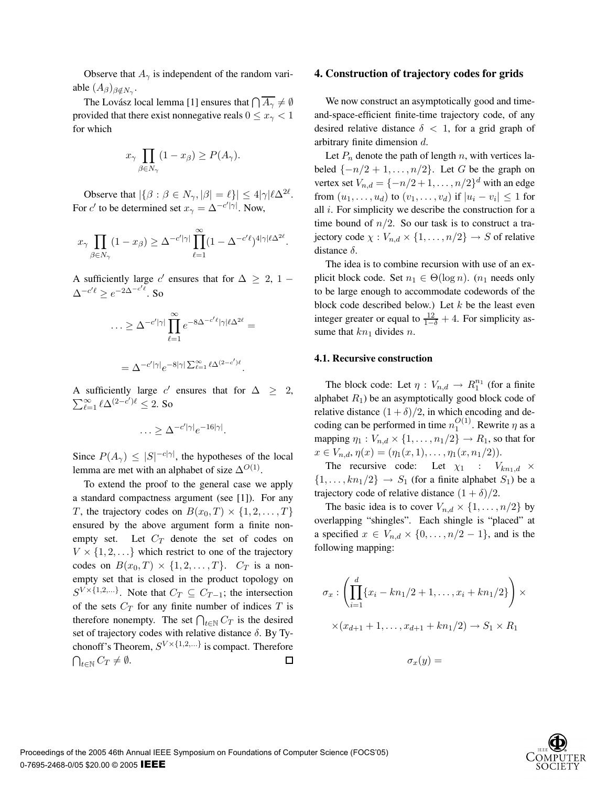Observe that  $A_{\gamma}$  is independent of the random variable  $(A_\beta)_{\beta \notin N_\infty}$ .

The Lovász local lemma [1] ensures that  $\bigcap \overline{A_{\gamma}} \neq \emptyset$ provided that there exist nonnegative reals  $0 \le x_{\gamma} < 1$ for which

$$
x_{\gamma} \prod_{\beta \in N_{\gamma}} (1 - x_{\beta}) \ge P(A_{\gamma}).
$$

Observe that  $|\{\beta : \beta \in N_{\gamma}, |\beta| = \ell\}| \leq 4|\gamma|\ell\Delta^{2\ell}.$ For c' to be determined set  $x_{\gamma} = \Delta^{-c'|\gamma|}$ . Now,

$$
x_{\gamma} \prod_{\beta \in N_{\gamma}} (1 - x_{\beta}) \geq \Delta^{-c'|\gamma|} \prod_{\ell=1}^{\infty} (1 - \Delta^{-c'\ell})^{4|\gamma|\ell \Delta^{2\ell}}.
$$

A sufficiently large c' ensures that for  $\Delta \geq 2$ , 1 –  $\Delta^{-c'\ell} \geq e^{-2\Delta^{-c'\ell}}$ . So

$$
\ldots \geq \Delta^{-c'|\gamma|} \prod_{\ell=1}^{\infty} e^{-8\Delta^{-c'\ell}|\gamma|\ell\Delta^{2\ell}} =
$$
  
= 
$$
\Delta^{-c'|\gamma|} e^{-8|\gamma| \sum_{\ell=1}^{\infty} \ell \Delta^{(2-c')\ell}}.
$$

A sufficiently large c' ensures that for  $\Delta \geq 2$ ,  $\sum_{\ell=1}^{\infty} \ell \Delta^{(2-c')\ell} \leq 2$ . So

$$
\ldots \geq \Delta^{-c'|\gamma|}e^{-16|\gamma|}.
$$

Since  $P(A_{\gamma}) \leq |S|^{-c|\gamma|}$ , the hypotheses of the local lemma are met with an alphabet of size  $\Delta^{O(1)}$ .

To extend the proof to the general case we apply a standard compactness argument (see [1]). For any T, the trajectory codes on  $B(x_0,T) \times \{1,2,\ldots,T\}$ ensured by the above argument form a finite nonempty set. Let  $C_T$  denote the set of codes on  $V \times \{1, 2, \ldots\}$  which restrict to one of the trajectory codes on  $B(x_0,T) \times \{1,2,\ldots,T\}$ .  $C_T$  is a nonempty set that is closed in the product topology on  $S^{V\times\{1,2,...\}}$ . Note that  $C_T \subseteq C_{T-1}$ ; the intersection of the sets  $C_T$  for any finite number of indices  $T$  is therefore nonempty. The set  $\bigcap_{t\in\mathbb{N}} C_T$  is the desired set of trajectory codes with relative distance  $\delta$ . By Tychonoff's Theorem,  $S^{V \times \{1,2,...\}}$  is compact. Therefore  $\bigcap_{t\in\mathbb{N}} C_T \neq \emptyset.$ □

#### **4. Construction of trajectory codes for grids**

We now construct an asymptotically good and timeand-space-efficient finite-time trajectory code, of any desired relative distance  $\delta$  < 1, for a grid graph of arbitrary finite dimension d.

Let  $P_n$  denote the path of length n, with vertices labeled  $\{-n/2+1, \ldots, n/2\}$ . Let G be the graph on vertex set  $V_{n,d} = \{-n/2+1,\ldots,n/2\}^d$  with an edge from  $(u_1,\ldots,u_d)$  to  $(v_1,\ldots,v_d)$  if  $|u_i-v_i|\leq 1$  for all  $i$ . For simplicity we describe the construction for a time bound of  $n/2$ . So our task is to construct a trajectory code  $\chi: V_{n,d} \times \{1, \ldots, n/2\} \to S$  of relative distance  $\delta$ .

The idea is to combine recursion with use of an explicit block code. Set  $n_1 \in \Theta(\log n)$ .  $(n_1 \text{ needs only})$ to be large enough to accommodate codewords of the block code described below.) Let  $k$  be the least even integer greater or equal to  $\frac{12}{1-\delta} + 4$ . For simplicity assume that  $kn_1$  divides n.

#### **4.1. Recursive construction**

The block code: Let  $\eta: V_{n,d} \to R_1^{n_1}$  (for a finite alphabet  $R_1$ ) be an asymptotically good block code of relative distance  $(1 + \delta)/2$ , in which encoding and decoding can be performed in time  $n_1^{O(1)}$ . Rewrite  $\eta$  as a mapping  $\eta_1 : V_{n,d} \times \{1, \ldots, n_1/2\} \to R_1$ , so that for  $x \in V_{n,d}, \eta(x)=(\eta_1(x, 1), \ldots, \eta_1(x, n_1/2)).$ 

The recursive code: Let  $\chi_1$  :  $V_{kn_1,d}$   $\times$  $\{1,\ldots, kn_1/2\} \rightarrow S_1$  (for a finite alphabet  $S_1$ ) be a trajectory code of relative distance  $(1 + \delta)/2$ .

The basic idea is to cover  $V_{n,d} \times \{1, \ldots, n/2\}$  by overlapping "shingles". Each shingle is "placed" at a specified  $x \in V_{n,d} \times \{0, \ldots, n/2-1\}$ , and is the following mapping:

$$
\sigma_x : \left( \prod_{i=1}^d \{x_i - kn_1/2 + 1, \dots, x_i + kn_1/2\} \right) \times
$$
  
 
$$
\times (x_{d+1} + 1, \dots, x_{d+1} + kn_1/2) \to S_1 \times R_1
$$

 $\sigma_x(y) =$ 

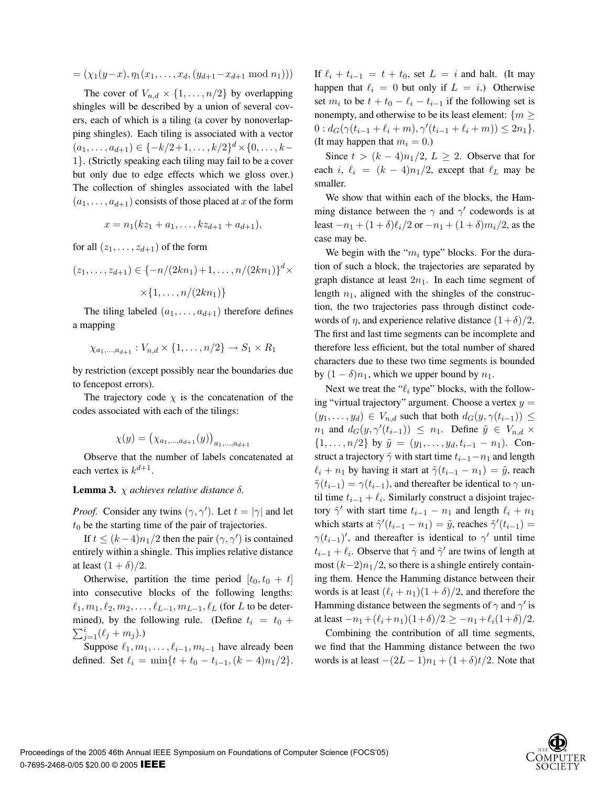$$
= (\chi_1(y-x), \eta_1(x_1, \ldots, x_d, (y_{d+1} - x_{d+1} \bmod n_1)))
$$

The cover of  $V_{n,d} \times \{1, \ldots, n/2\}$  by overlapping shingles will be described by a union of several covers, each of which is a tiling (a cover by nonoverlapping shingles). Each tiling is associated with a vector  $(a_1, \ldots, a_{d+1}) \in \{-k/2+1, \ldots, k/2\}^d \times \{0, \ldots, k-1\}$ 1}. (Strictly speaking each tiling may fail to be a cover but only due to edge effects which we gloss over.) The collection of shingles associated with the label  $(a_1, \ldots, a_{d+1})$  consists of those placed at x of the form

$$
x = n_1(kz_1 + a_1, \dots, kz_{d+1} + a_{d+1}),
$$

for all  $(z_1,\ldots,z_{d+1})$  of the form

$$
(z_1, \ldots, z_{d+1}) \in \{-n/(2kn_1)+1, \ldots, n/(2kn_1)\}^d \times \times \{1, \ldots, n/(2kn_1)\}
$$

The tiling labeled  $(a_1, \ldots, a_{d+1})$  therefore defines a mapping

$$
\chi_{a_1,\ldots,a_{d+1}}: V_{n,d}\times\{1,\ldots,n/2\}\to S_1\times R_1
$$

by restriction (except possibly near the boundaries due to fencepost errors).

The trajectory code  $\chi$  is the concatenation of the codes associated with each of the tilings:

$$
\chi(y) = (\chi_{a_1,\dots,a_{d+1}}(y))_{a_1,\dots,a_{d+1}}
$$

Observe that the number of labels concatenated at each vertex is  $k^{d+1}$ .

## **Lemma 3.**  $\chi$  *achieves relative distance*  $\delta$ .

*Proof.* Consider any twins  $(\gamma, \gamma')$ . Let  $t = |\gamma|$  and let  $t_0$  be the starting time of the pair of trajectories.

If  $t \leq (k-4)n_1/2$  then the pair  $(\gamma, \gamma')$  is contained entirely within a shingle. This implies relative distance at least  $(1 + \delta)/2$ .

Otherwise, partition the time period  $[t_0, t_0 + t]$ into consecutive blocks of the following lengths:  $\ell_1, m_1, \ell_2, m_2, \ldots, \ell_{L-1}, m_{L-1}, \ell_L$  (for L to be determined), by the following rule. (Define  $t_i = t_0 +$  $\sum_{j=1}^i (\ell_j + m_j)$ .)

Suppose  $\ell_1, m_1, \ldots, \ell_{i-1}, m_{i-1}$  have already been defined. Set  $\ell_i = \min\{t + t_0 - t_{i-1}, (k-4)n_1/2\}.$ 

If  $\ell_i + t_{i-1} = t + t_0$ , set  $L = i$  and halt. (It may happen that  $\ell_i = 0$  but only if  $L = i$ .) Otherwise set  $m_i$  to be  $t + t_0 - \ell_i - t_{i-1}$  if the following set is nonempty, and otherwise to be its least element:  $\{m \geq$  $0: d_G(\gamma(t_{i-1} + \ell_i + m), \gamma'(t_{i-1} + \ell_i + m)) \leq 2n_1\}.$ (It may happen that  $m_i = 0$ .)

Since  $t > (k-4)n_1/2$ ,  $L \geq 2$ . Observe that for each i,  $\ell_i = (k-4)n_1/2$ , except that  $\ell_L$  may be smaller.

We show that within each of the blocks, the Hamming distance between the  $\gamma$  and  $\gamma'$  codewords is at least  $-n_1 + (1+\delta)\ell_i/2$  or  $-n_1 + (1+\delta)m_i/2$ , as the case may be.

We begin with the " $m_i$  type" blocks. For the duration of such a block, the trajectories are separated by graph distance at least  $2n_1$ . In each time segment of length  $n_1$ , aligned with the shingles of the construction, the two trajectories pass through distinct codewords of  $\eta$ , and experience relative distance  $(1+\delta)/2$ . The first and last time segments can be incomplete and therefore less efficient, but the total number of shared characters due to these two time segments is bounded by  $(1 - \delta)n_1$ , which we upper bound by  $n_1$ .

Next we treat the " $\ell_i$  type" blocks, with the following "virtual trajectory" argument. Choose a vertex  $y =$  $(y_1,\ldots,y_d) \in V_{n,d}$  such that both  $d_G(y,\gamma(t_{i-1})) \leq$  $n_1$  and  $d_G(y, \gamma'(t_{i-1})) \leq n_1$ . Define  $\tilde{y} \in V_{n,d} \times$  $\{1, \ldots, n/2\}$  by  $\tilde{y} = (y_1, \ldots, y_d, t_{i-1} - n_1)$ . Construct a trajectory  $\tilde{\gamma}$  with start time  $t_{i-1}-n_1$  and length  $\ell_i + n_1$  by having it start at  $\tilde{\gamma}(t_{i-1} - n_1) = \tilde{y}$ , reach  $\tilde{\gamma}(t_{i-1}) = \gamma(t_{i-1})$ , and thereafter be identical to  $\gamma$  until time  $t_{i-1} + \ell_i$ . Similarly construct a disjoint trajectory  $\tilde{\gamma}'$  with start time  $t_{i-1} - n_1$  and length  $\ell_i + n_1$ which starts at  $\tilde{\gamma}'(t_{i-1} - n_1) = \tilde{y}$ , reaches  $\tilde{\gamma}'(t_{i-1}) =$  $\gamma(t_{i-1})'$ , and thereafter is identical to  $\gamma'$  until time  $t_{i-1} + \ell_i$ . Observe that  $\tilde{\gamma}$  and  $\tilde{\gamma}'$  are twins of length at most  $(k-2)n_1/2$ , so there is a shingle entirely containing them. Hence the Hamming distance between their words is at least  $(\ell_i + n_1)(1 + \delta)/2$ , and therefore the Hamming distance between the segments of  $\gamma$  and  $\gamma'$  is at least  $-n_1+(\ell_i+n_1)(1+\delta)/2 \geq -n_1+\ell_i(1+\delta)/2$ .

Combining the contribution of all time segments, we find that the Hamming distance between the two words is at least  $-(2L-1)n_1 + (1+\delta)t/2$ . Note that

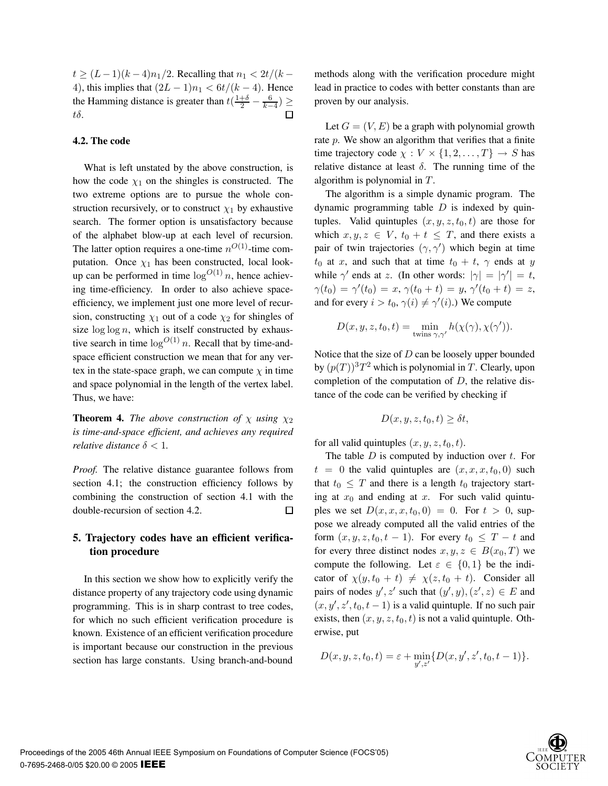$t \ge (L-1)(k-4)n_1/2$ . Recalling that  $n_1 < 2t/(k-1)$ 4), this implies that  $(2L - 1)n_1 < 6t/(k - 4)$ . Hence the Hamming distance is greater than  $t(\frac{1+\delta}{2} - \frac{6}{k-4}) \ge$ tδ.

## **4.2. The code**

What is left unstated by the above construction, is how the code  $\chi_1$  on the shingles is constructed. The two extreme options are to pursue the whole construction recursively, or to construct  $\chi_1$  by exhaustive search. The former option is unsatisfactory because of the alphabet blow-up at each level of recursion. The latter option requires a one-time  $n^{O(1)}$ -time computation. Once  $\chi_1$  has been constructed, local lookup can be performed in time  $\log^{O(1)} n$ , hence achieving time-efficiency. In order to also achieve spaceefficiency, we implement just one more level of recursion, constructing  $\chi_1$  out of a code  $\chi_2$  for shingles of size  $\log \log n$ , which is itself constructed by exhaustive search in time  $\log^{O(1)} n$ . Recall that by time-andspace efficient construction we mean that for any vertex in the state-space graph, we can compute  $\chi$  in time and space polynomial in the length of the vertex label. Thus, we have:

**Theorem 4.** *The above construction of*  $\chi$  *using*  $\chi_2$ *is time-and-space efficient, and achieves any required relative distance*  $\delta$  < 1.

*Proof.* The relative distance guarantee follows from section 4.1; the construction efficiency follows by combining the construction of section 4.1 with the double-recursion of section 4.2. □

## **5. Trajectory codes have an efficient verification procedure**

In this section we show how to explicitly verify the distance property of any trajectory code using dynamic programming. This is in sharp contrast to tree codes, for which no such efficient verification procedure is known. Existence of an efficient verification procedure is important because our construction in the previous section has large constants. Using branch-and-bound

methods along with the verification procedure might lead in practice to codes with better constants than are proven by our analysis.

Let  $G = (V, E)$  be a graph with polynomial growth rate p. We show an algorithm that verifies that a finite time trajectory code  $\chi: V \times \{1, 2, ..., T\} \rightarrow S$  has relative distance at least  $\delta$ . The running time of the algorithm is polynomial in T.

The algorithm is a simple dynamic program. The dynamic programming table  $D$  is indexed by quintuples. Valid quintuples  $(x, y, z, t_0, t)$  are those for which  $x, y, z \in V$ ,  $t_0 + t \leq T$ , and there exists a pair of twin trajectories  $(\gamma, \gamma')$  which begin at time  $t_0$  at x, and such that at time  $t_0 + t$ ,  $\gamma$  ends at y while  $\gamma'$  ends at z. (In other words:  $|\gamma| = |\gamma'| = t$ ,  $\gamma(t_0) = \gamma'(t_0) = x, \, \gamma(t_0 + t) = y, \, \gamma'(t_0 + t) = z,$ and for every  $i > t_0$ ,  $\gamma(i) \neq \gamma'(i)$ .) We compute

$$
D(x, y, z, t_0, t) = \min_{\text{twins }\gamma, \gamma'} h(\chi(\gamma), \chi(\gamma')).
$$

Notice that the size of  $D$  can be loosely upper bounded by  $(p(T))^{3}T^{2}$  which is polynomial in T. Clearly, upon completion of the computation of  $D$ , the relative distance of the code can be verified by checking if

$$
D(x, y, z, t_0, t) \geq \delta t,
$$

for all valid quintuples  $(x, y, z, t_0, t)$ .

The table  $D$  is computed by induction over  $t$ . For  $t = 0$  the valid quintuples are  $(x, x, x, t_0, 0)$  such that  $t_0 \leq T$  and there is a length  $t_0$  trajectory starting at  $x_0$  and ending at x. For such valid quintuples we set  $D(x, x, x, t_0, 0) = 0$ . For  $t > 0$ , suppose we already computed all the valid entries of the form  $(x, y, z, t_0, t - 1)$ . For every  $t_0 \leq T - t$  and for every three distinct nodes  $x, y, z \in B(x_0, T)$  we compute the following. Let  $\varepsilon \in \{0,1\}$  be the indicator of  $\chi(y, t_0 + t) \neq \chi(z, t_0 + t)$ . Consider all pairs of nodes  $y', z'$  such that  $(y', y), (z', z) \in E$  and  $(x, y', z', t_0, t - 1)$  is a valid quintuple. If no such pair exists, then  $(x, y, z, t_0, t)$  is not a valid quintuple. Otherwise, put

$$
D(x, y, z, t_0, t) = \varepsilon + \min_{y', z'} \{D(x, y', z', t_0, t - 1)\}.
$$